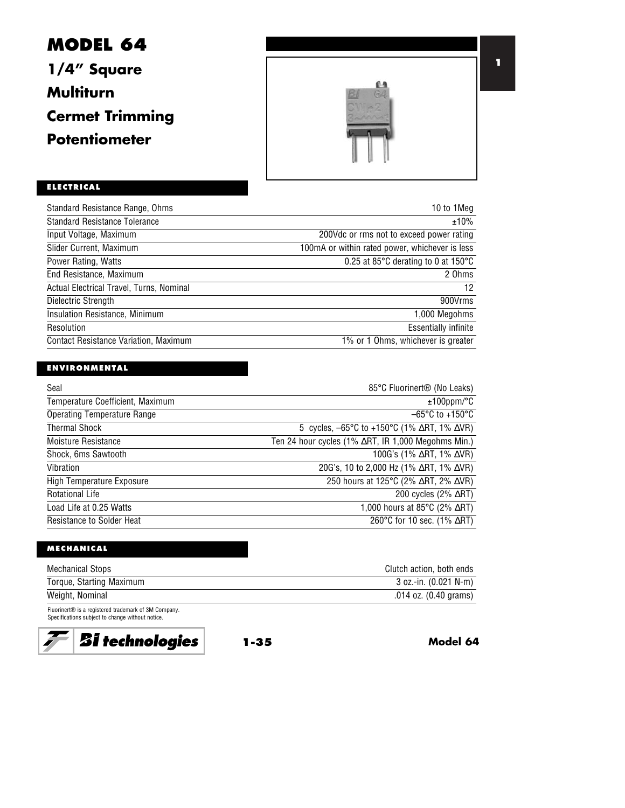# **MODEL 64 1/4" Square**

**Multiturn**

**Cermet Trimming**

**Potentiometer**



# **ELECTRICAL**

| 10 to 1Meg                                              |
|---------------------------------------------------------|
| ±10%                                                    |
| 200Vdc or rms not to exceed power rating                |
| 100mA or within rated power, whichever is less          |
| 0.25 at 85 $\degree$ C derating to 0 at 150 $\degree$ C |
| 2 Ohms                                                  |
| 12                                                      |
| 900Vrms                                                 |
| 1,000 Megohms                                           |
| <b>Essentially infinite</b>                             |
| 1% or 1 Ohms, whichever is greater                      |
|                                                         |

## **ENVIRONMENTAL**

| Seal                               | 85°C Fluorinert <sup>®</sup> (No Leaks)                                        |
|------------------------------------|--------------------------------------------------------------------------------|
| Temperature Coefficient, Maximum   | $±100$ ppm/°C                                                                  |
| <b>Operating Temperature Range</b> | $-65^{\circ}$ C to +150 $^{\circ}$ C                                           |
| <b>Thermal Shock</b>               | 5 cycles, $-65^{\circ}$ C to $+150^{\circ}$ C (1% $\Delta$ RT, 1% $\Delta$ VR) |
| Moisture Resistance                | Ten 24 hour cycles (1% $\Delta$ RT, IR 1,000 Megohms Min.)                     |
| Shock, 6ms Sawtooth                | 100G's (1% $\Delta$ RT, 1% $\Delta$ VR)                                        |
| Vibration                          | 20G's, 10 to 2,000 Hz (1% $\Delta$ RT, 1% $\Delta$ VR)                         |
| High Temperature Exposure          | 250 hours at 125°C (2% ∆RT, 2% ∆VR)                                            |
| <b>Rotational Life</b>             | 200 cycles $(2\% \triangle RT)$                                                |
| Load Life at 0.25 Watts            | 1,000 hours at 85 $\degree$ C (2% $\triangle$ RT)                              |
| <b>Resistance to Solder Heat</b>   | 260°C for 10 sec. (1% $\Delta$ RT)                                             |

#### **MECHANICAL**

| <b>Mechanical Stops</b>  | Clutch action, both ends |
|--------------------------|--------------------------|
| Torque, Starting Maximum | $3$ oz.-in. (0.021 N-m)  |
| Weight, Nominal          | .014 oz. (0.40 grams)    |

Fluorinert® is a registered trademark of 3M Company. Specifications subject to change without notice.



**1-35 Model 64**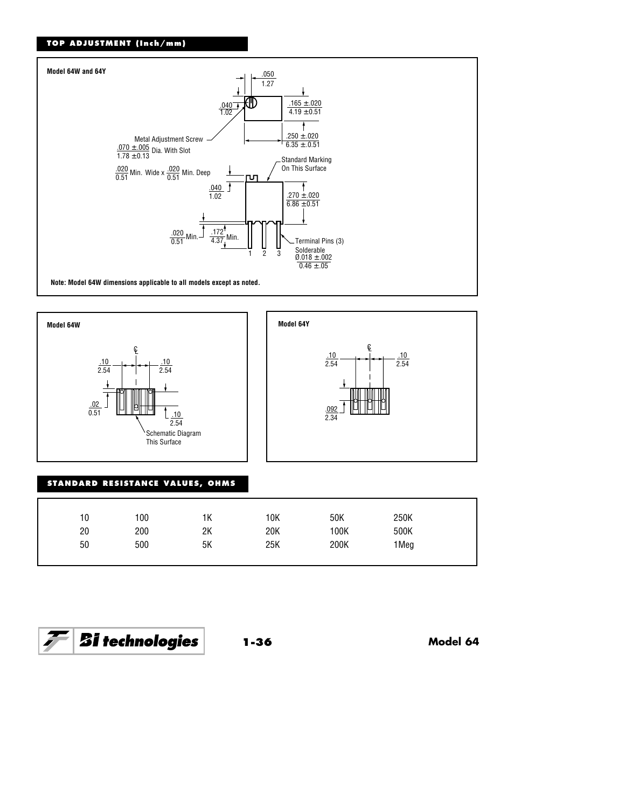#### **TOP ADJUSTMENT (Inch/mm)**







## **STANDARD RESISTANCE VALUES, OHMS**

| 10 | 100 | 1К | 10K | 50K  | 250K |  |
|----|-----|----|-----|------|------|--|
| 20 | 200 | 2K | 20K | 100K | 500K |  |
| 50 | 500 | 5Κ | 25K | 200K | 1Meg |  |
|    |     |    |     |      |      |  |

$$
\boxed{\mathcal{F}}\boxed{\textit{Bi technologies}}
$$

**1-36 Model 64**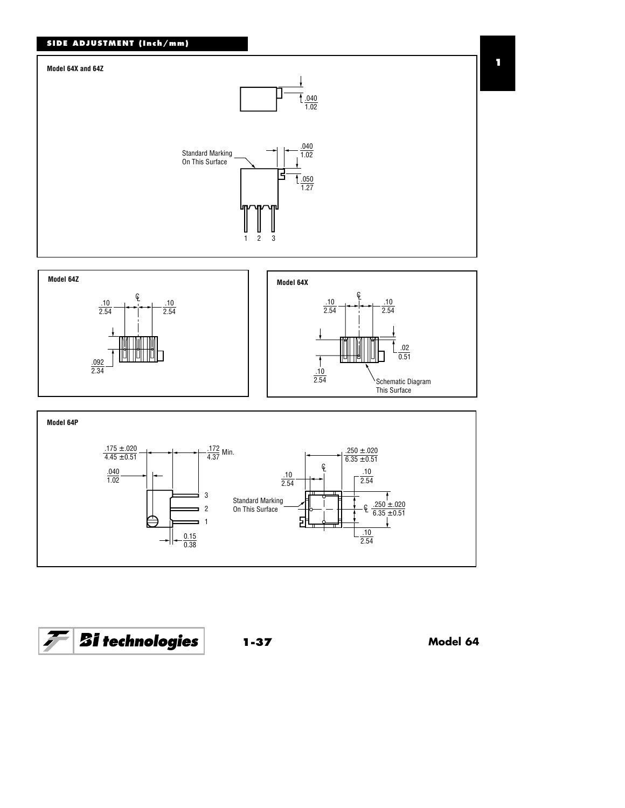







**1-37 Model 64**